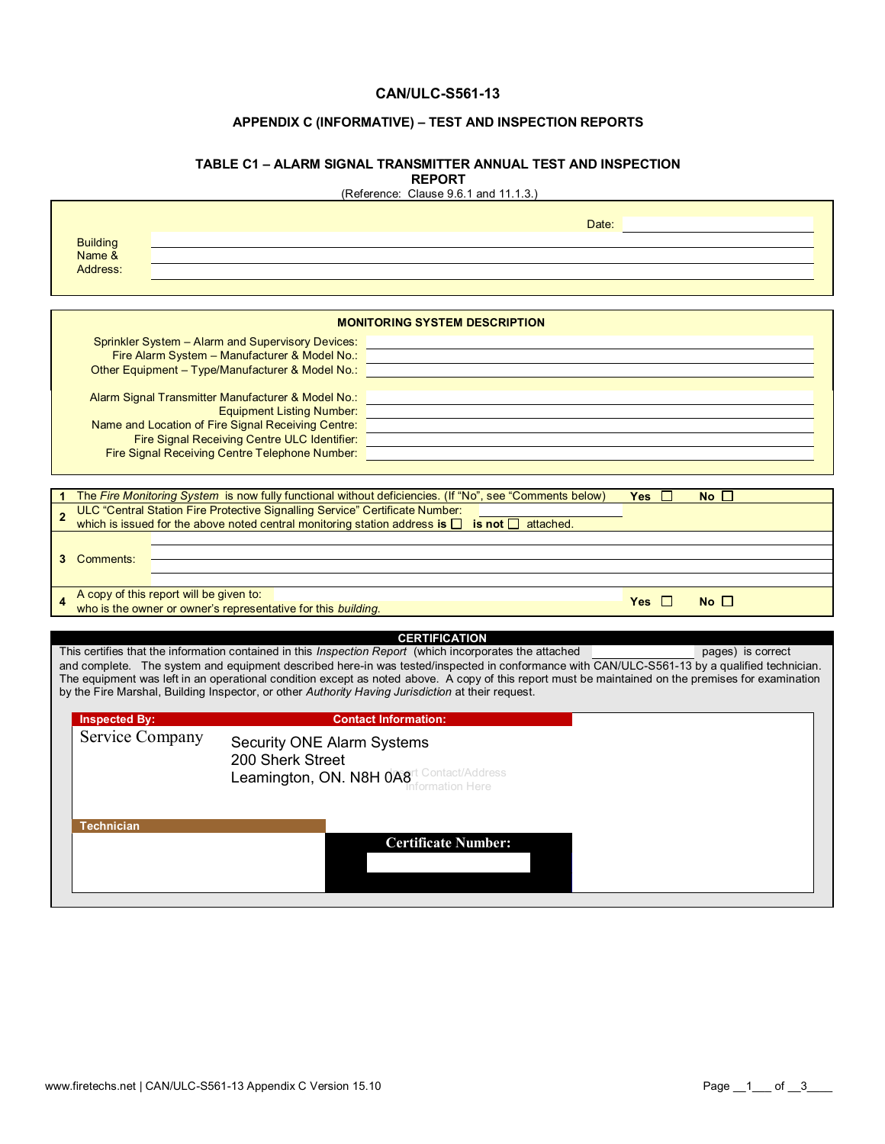#### **CAN/ULC-S561-13**

### **APPENDIX C (INFORMATIVE) – TEST AND INSPECTION REPORTS**

#### **TABLE C1 – ALARM SIGNAL TRANSMITTER ANNUAL TEST AND INSPECTION REPORT**

(Reference: Clause 9.6.1 and 11.1.3.)

|                                         | Date:                                                                                                                                                                                                                                                                                              |  |  |  |  |  |  |
|-----------------------------------------|----------------------------------------------------------------------------------------------------------------------------------------------------------------------------------------------------------------------------------------------------------------------------------------------------|--|--|--|--|--|--|
| <b>Building</b>                         |                                                                                                                                                                                                                                                                                                    |  |  |  |  |  |  |
| Name &<br>Address:                      |                                                                                                                                                                                                                                                                                                    |  |  |  |  |  |  |
|                                         |                                                                                                                                                                                                                                                                                                    |  |  |  |  |  |  |
|                                         |                                                                                                                                                                                                                                                                                                    |  |  |  |  |  |  |
| <b>MONITORING SYSTEM DESCRIPTION</b>    |                                                                                                                                                                                                                                                                                                    |  |  |  |  |  |  |
|                                         | Sprinkler System – Alarm and Supervisory Devices: <u>[11] The Contract Control Control Control Control Control Co</u>                                                                                                                                                                              |  |  |  |  |  |  |
|                                         | Fire Alarm System - Manufacturer & Model No.: 2008 2010 2020 2020 2021 2022 2023 2024 2022 2022 2023 2024 2022                                                                                                                                                                                     |  |  |  |  |  |  |
|                                         | Other Equipment - Type/Manufacturer & Model No.:                                                                                                                                                                                                                                                   |  |  |  |  |  |  |
|                                         |                                                                                                                                                                                                                                                                                                    |  |  |  |  |  |  |
|                                         | Alarm Signal Transmitter Manufacturer & Model No.:<br><b>Equipment Listing Number:</b>                                                                                                                                                                                                             |  |  |  |  |  |  |
|                                         | Name and Location of Fire Signal Receiving Centre:                                                                                                                                                                                                                                                 |  |  |  |  |  |  |
|                                         | Fire Signal Receiving Centre ULC Identifier:                                                                                                                                                                                                                                                       |  |  |  |  |  |  |
|                                         | Fire Signal Receiving Centre Telephone Number:                                                                                                                                                                                                                                                     |  |  |  |  |  |  |
|                                         |                                                                                                                                                                                                                                                                                                    |  |  |  |  |  |  |
|                                         | The Fire Monitoring System is now fully functional without deficiencies. (If "No", see "Comments below)<br>Yes $\Box$<br>No                                                                                                                                                                        |  |  |  |  |  |  |
| $\overline{2}$                          | ULC "Central Station Fire Protective Signalling Service" Certificate Number:                                                                                                                                                                                                                       |  |  |  |  |  |  |
|                                         | which is issued for the above noted central monitoring station address is $\Box$ is not $\Box$ attached.                                                                                                                                                                                           |  |  |  |  |  |  |
|                                         |                                                                                                                                                                                                                                                                                                    |  |  |  |  |  |  |
| 3 Comments:                             |                                                                                                                                                                                                                                                                                                    |  |  |  |  |  |  |
|                                         |                                                                                                                                                                                                                                                                                                    |  |  |  |  |  |  |
|                                         | A copy of this report will be given to:<br>No<br>who is the owner or owner's representative for this building.                                                                                                                                                                                     |  |  |  |  |  |  |
|                                         |                                                                                                                                                                                                                                                                                                    |  |  |  |  |  |  |
|                                         | <b>CERTIFICATION</b>                                                                                                                                                                                                                                                                               |  |  |  |  |  |  |
|                                         | This certifies that the information contained in this <i>Inspection Report</i> (which incorporates the attached<br>pages) is correct                                                                                                                                                               |  |  |  |  |  |  |
|                                         | and complete. The system and equipment described here-in was tested/inspected in conformance with CAN/ULC-S561-13 by a qualified technician.<br>The equipment was left in an operational condition except as noted above. A copy of this report must be maintained on the premises for examination |  |  |  |  |  |  |
|                                         | by the Fire Marshal, Building Inspector, or other Authority Having Jurisdiction at their request.                                                                                                                                                                                                  |  |  |  |  |  |  |
|                                         | <b>Contact Information:</b>                                                                                                                                                                                                                                                                        |  |  |  |  |  |  |
| <b>Inspected By:</b><br>Service Company |                                                                                                                                                                                                                                                                                                    |  |  |  |  |  |  |
|                                         | <b>Security ONE Alarm Systems</b>                                                                                                                                                                                                                                                                  |  |  |  |  |  |  |
|                                         | 200 Sherk Street                                                                                                                                                                                                                                                                                   |  |  |  |  |  |  |
|                                         | Leamington, ON. N8H 0 Agrt Contact/Address                                                                                                                                                                                                                                                         |  |  |  |  |  |  |
|                                         |                                                                                                                                                                                                                                                                                                    |  |  |  |  |  |  |
|                                         |                                                                                                                                                                                                                                                                                                    |  |  |  |  |  |  |
| <b>Technician</b>                       | <b>Certificate Number:</b>                                                                                                                                                                                                                                                                         |  |  |  |  |  |  |
|                                         |                                                                                                                                                                                                                                                                                                    |  |  |  |  |  |  |
|                                         |                                                                                                                                                                                                                                                                                                    |  |  |  |  |  |  |
|                                         |                                                                                                                                                                                                                                                                                                    |  |  |  |  |  |  |
|                                         |                                                                                                                                                                                                                                                                                                    |  |  |  |  |  |  |

 $\mathsf T$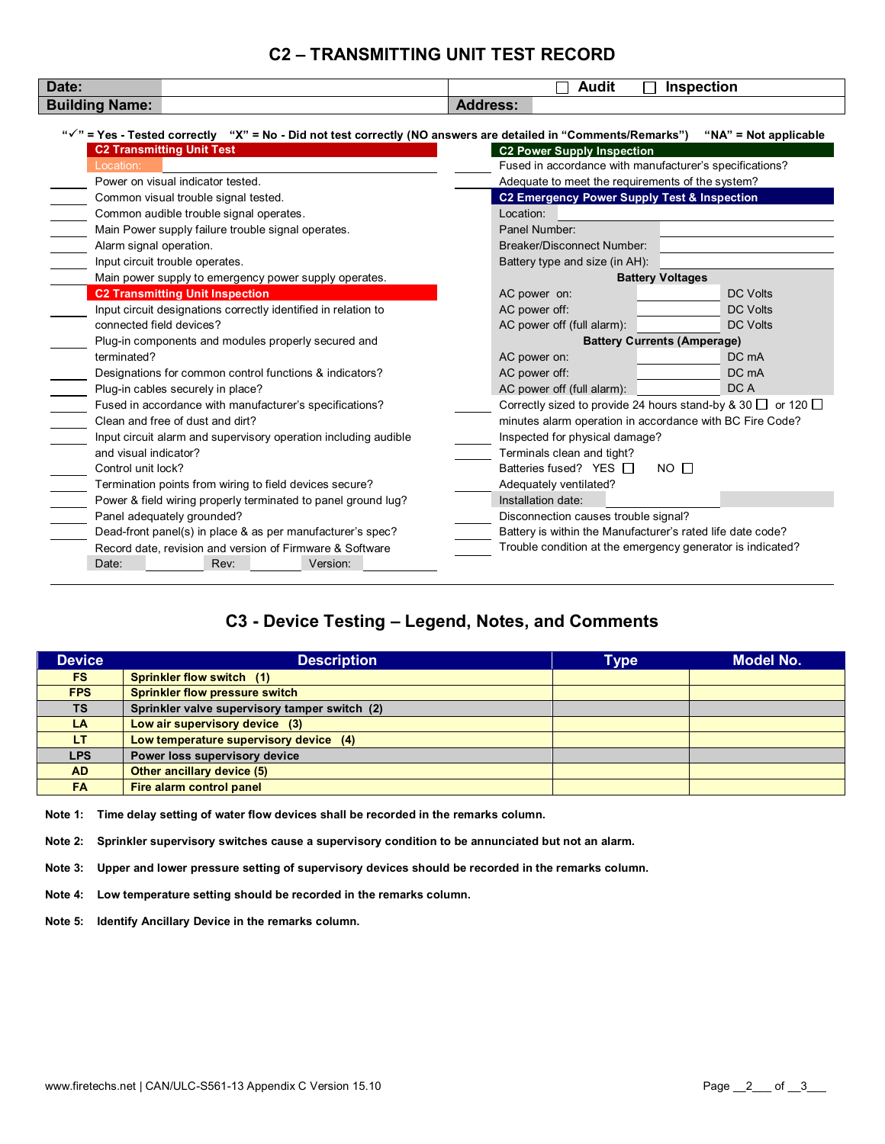## **C2 – TRANSMITTING UNIT TEST RECORD**

| <b>Building Name:</b><br><b>Address:</b><br>" $\check{ }$ " = Yes - Tested correctly "X" = No - Did not test correctly (NO answers are detailed in "Comments/Remarks")<br>" $NA$ " = Not applicable |                                                  |  |  |  |
|-----------------------------------------------------------------------------------------------------------------------------------------------------------------------------------------------------|--------------------------------------------------|--|--|--|
|                                                                                                                                                                                                     |                                                  |  |  |  |
|                                                                                                                                                                                                     |                                                  |  |  |  |
|                                                                                                                                                                                                     |                                                  |  |  |  |
| <b>C2 Transmitting Unit Test</b><br><b>C2 Power Supply Inspection</b>                                                                                                                               |                                                  |  |  |  |
| Fused in accordance with manufacturer's specifications?<br>Location:                                                                                                                                |                                                  |  |  |  |
| Power on visual indicator tested.                                                                                                                                                                   | Adequate to meet the requirements of the system? |  |  |  |
| C2 Emergency Power Supply Test & Inspection<br>Common visual trouble signal tested.                                                                                                                 |                                                  |  |  |  |
| Common audible trouble signal operates.<br>Location:                                                                                                                                                |                                                  |  |  |  |
| Main Power supply failure trouble signal operates.<br>Panel Number:                                                                                                                                 |                                                  |  |  |  |
| <b>Breaker/Disconnect Number:</b><br>Alarm signal operation.                                                                                                                                        |                                                  |  |  |  |
| Input circuit trouble operates.<br>Battery type and size (in AH):                                                                                                                                   |                                                  |  |  |  |
| Main power supply to emergency power supply operates.<br><b>Battery Voltages</b>                                                                                                                    |                                                  |  |  |  |
| <b>C2 Transmitting Unit Inspection</b><br><b>DC Volts</b><br>AC power on:                                                                                                                           |                                                  |  |  |  |
| AC power off:<br><b>DC Volts</b><br>Input circuit designations correctly identified in relation to                                                                                                  |                                                  |  |  |  |
| connected field devices?<br>AC power off (full alarm):<br><b>DC Volts</b>                                                                                                                           |                                                  |  |  |  |
| Plug-in components and modules properly secured and                                                                                                                                                 | <b>Battery Currents (Amperage)</b>               |  |  |  |
| DC mA<br>terminated?<br>AC power on:                                                                                                                                                                |                                                  |  |  |  |
| Designations for common control functions & indicators?<br>AC power off:<br>DC mA                                                                                                                   |                                                  |  |  |  |
| DC A<br>AC power off (full alarm):<br>Plug-in cables securely in place?                                                                                                                             |                                                  |  |  |  |
| Correctly sized to provide 24 hours stand-by & 30 □ or 120 □<br>Fused in accordance with manufacturer's specifications?                                                                             |                                                  |  |  |  |
| Clean and free of dust and dirt?<br>minutes alarm operation in accordance with BC Fire Code?                                                                                                        |                                                  |  |  |  |
| Input circuit alarm and supervisory operation including audible<br>Inspected for physical damage?                                                                                                   |                                                  |  |  |  |
| and visual indicator?<br>Terminals clean and tight?                                                                                                                                                 |                                                  |  |  |  |
| Batteries fused? YES $\Box$<br>$NO$ $\Box$<br>Control unit lock?                                                                                                                                    |                                                  |  |  |  |
| Termination points from wiring to field devices secure?<br>Adequately ventilated?                                                                                                                   |                                                  |  |  |  |
| Installation date:<br>Power & field wiring properly terminated to panel ground lug?                                                                                                                 |                                                  |  |  |  |
| Disconnection causes trouble signal?<br>Panel adequately grounded?                                                                                                                                  |                                                  |  |  |  |
| Battery is within the Manufacturer's rated life date code?<br>Dead-front panel(s) in place & as per manufacturer's spec?                                                                            |                                                  |  |  |  |
| Trouble condition at the emergency generator is indicated?<br>Record date, revision and version of Firmware & Software                                                                              |                                                  |  |  |  |
| Date:<br>Rev:<br>Version:                                                                                                                                                                           |                                                  |  |  |  |

# **C3 - Device Testing – Legend, Notes, and Comments**

| <b>Device</b> | <b>Description</b>                            | <b>Type</b> | <b>Model No.</b> |
|---------------|-----------------------------------------------|-------------|------------------|
| FS.           | Sprinkler flow switch (1)                     |             |                  |
| <b>FPS</b>    | Sprinkler flow pressure switch                |             |                  |
| <b>TS</b>     | Sprinkler valve supervisory tamper switch (2) |             |                  |
| <b>LA</b>     | Low air supervisory device (3)                |             |                  |
| LT.           | Low temperature supervisory device (4)        |             |                  |
| <b>LPS</b>    | Power loss supervisory device                 |             |                  |
| <b>AD</b>     | Other ancillary device (5)                    |             |                  |
| <b>FA</b>     | Fire alarm control panel                      |             |                  |

**Note 1: Time delay setting of water flow devices shall be recorded in the remarks column.** 

**Note 2: Sprinkler supervisory switches cause a supervisory condition to be annunciated but not an alarm.** 

**Note 3: Upper and lower pressure setting of supervisory devices should be recorded in the remarks column.** 

**Note 4: Low temperature setting should be recorded in the remarks column.** 

**Note 5: Identify Ancillary Device in the remarks column.**